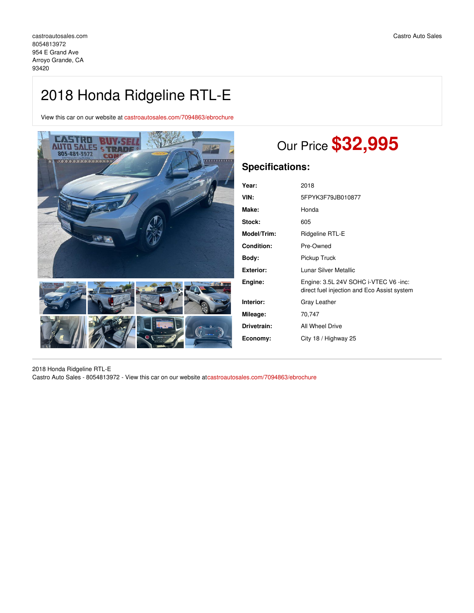## 2018 Honda Ridgeline RTL-E

View this car on our website at [castroautosales.com/7094863/ebrochure](https://castroautosales.com/vehicle/7094863/2018-honda-ridgeline-rtl-e-arroyo-grande-ca-93420/7094863/ebrochure)



# Our Price **\$32,995**

### **Specifications:**

| Year:            | 2018                                                                                 |
|------------------|--------------------------------------------------------------------------------------|
| VIN:             | 5FPYK3F79JB010877                                                                    |
| Make:            | Honda                                                                                |
| Stock:           | 605                                                                                  |
| Model/Trim:      | Ridgeline RTL-E                                                                      |
| Condition:       | Pre-Owned                                                                            |
| Body:            | Pickup Truck                                                                         |
| <b>Exterior:</b> | Lunar Silver Metallic                                                                |
| Engine:          | Engine: 3.5L 24V SOHC i-VTEC V6 -inc:<br>direct fuel injection and Eco Assist system |
| Interior:        | Gray Leather                                                                         |
| Mileage:         | 70,747                                                                               |
| Drivetrain:      | All Wheel Drive                                                                      |
| Economy:         | City 18 / Highway 25                                                                 |
|                  |                                                                                      |

2018 Honda Ridgeline RTL-E Castro Auto Sales - 8054813972 - View this car on our website at[castroautosales.com/7094863/ebrochure](https://castroautosales.com/vehicle/7094863/2018-honda-ridgeline-rtl-e-arroyo-grande-ca-93420/7094863/ebrochure)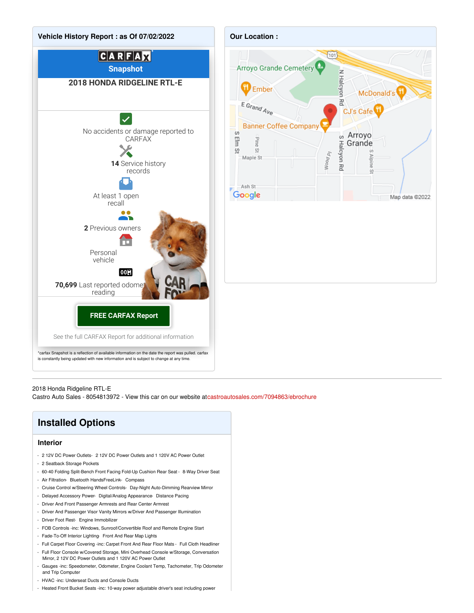

2018 Honda Ridgeline RTL-E

Castro Auto Sales - 8054813972 - View this car on our website at[castroautosales.com/7094863/ebrochure](https://castroautosales.com/vehicle/7094863/2018-honda-ridgeline-rtl-e-arroyo-grande-ca-93420/7094863/ebrochure)

## **Installed Options**

#### **Interior**

- 2 12V DC Power Outlets- 2 12V DC Power Outlets and 1 120V AC Power Outlet
- 2 Seatback Storage Pockets
- 60-40 Folding Split-Bench Front Facing Fold-Up Cushion Rear Seat 8-Way Driver Seat
- Air Filtration- Bluetooth HandsFreeLink- Compass
- Cruise Control w/Steering Wheel Controls- Day-Night Auto-Dimming Rearview Mirror
- Delayed Accessory Power- Digital/Analog Appearance- Distance Pacing
- Driver And Front Passenger Armrests and Rear Center Armrest
- Driver And Passenger Visor Vanity Mirrors w/Driver And Passenger Illumination
- Driver Foot Rest- Engine Immobilizer
- FOB Controls -inc: Windows, Sunroof/Convertible Roof and Remote Engine Start
- Fade-To-Off Interior Lighting- Front And Rear Map Lights
- Full Carpet Floor Covering -inc: Carpet Front And Rear Floor Mats Full Cloth Headliner
- Full Floor Console w/Covered Storage, Mini Overhead Console w/Storage, Conversation Mirror, 2 12V DC Power Outlets and 1 120V AC Power Outlet
- Gauges -inc: Speedometer, Odometer, Engine Coolant Temp, Tachometer, Trip Odometer and Trip Computer
- HVAC -inc: Underseat Ducts and Console Ducts
- Heated Front Bucket Seats -inc: 10-way power adjustable driver's seat including power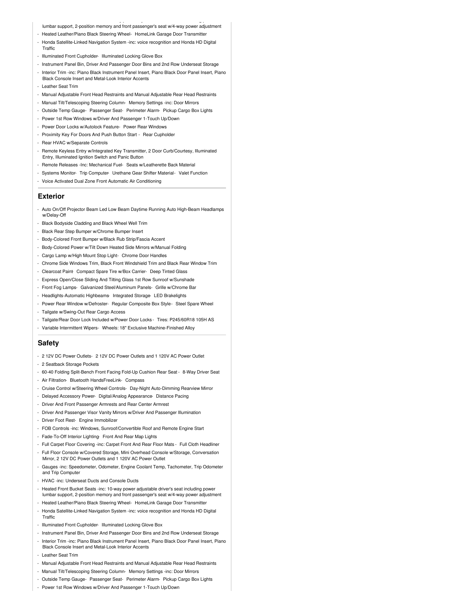- lumbar support, 2-position memory and front passenger's seat w/4-way power adjustment
- Heated Leather/Piano Black Steering Wheel- HomeLink Garage Door Transmitter
- Honda Satellite-Linked Navigation System -inc: voice recognition and Honda HD Digital **Traffic**
- Illuminated Front Cupholder- Illuminated Locking Glove Box
- Instrument Panel Bin, Driver And Passenger Door Bins and 2nd Row Underseat Storage
- Interior Trim -inc: Piano Black Instrument Panel Insert, Piano Black Door Panel Insert, Piano Black Console Insert and Metal-Look Interior Accents
- Leather Seat Trim
- Manual Adjustable Front Head Restraints and Manual Adjustable Rear Head Restraints
- Manual Tilt/Telescoping Steering Column- Memory Settings -inc: Door Mirrors
- Outside Temp Gauge- Passenger Seat- Perimeter Alarm- Pickup Cargo Box Lights
- Power 1st Row Windows w/Driver And Passenger 1-Touch Up/Down
- Power Door Locks w/Autolock Feature- Power Rear Windows
- Proximity Key For Doors And Push Button Start Rear Cupholder
- Rear HVAC w/Separate Controls
- Remote Keyless Entry w/Integrated Key Transmitter, 2 Door Curb/Courtesy, Illuminated Entry, Illuminated Ignition Switch and Panic Button
- Remote Releases -Inc: Mechanical Fuel- Seats w/Leatherette Back Material
- Systems Monitor- Trip Computer- Urethane Gear Shifter Material- Valet Function
- Voice Activated Dual Zone Front Automatic Air Conditioning

#### **Exterior**

- Auto On/Off Projector Beam Led Low Beam Daytime Running Auto High-Beam Headlamps w/Delay-Off
- Black Bodyside Cladding and Black Wheel Well Trim
- Black Rear Step Bumper w/Chrome Bumper Insert
- Body-Colored Front Bumper w/Black Rub Strip/Fascia Accent
- Body-Colored Power w/Tilt Down Heated Side Mirrors w/Manual Folding
- Cargo Lamp w/High Mount Stop Light- Chrome Door Handles
- Chrome Side Windows Trim, Black Front Windshield Trim and Black Rear Window Trim
- Clearcoat Paint- Compact Spare Tire w/Box Carrier- Deep Tinted Glass
- Express Open/Close Sliding And Tilting Glass 1st Row Sunroof w/Sunshade
- Front Fog Lamps- Galvanized Steel/Aluminum Panels- Grille w/Chrome Bar
- Headlights-Automatic Highbeams- Integrated Storage- LED Brakelights
- Power Rear Window w/Defroster- Regular Composite Box Style- Steel Spare Wheel
- Tailgate w/Swing-Out Rear Cargo Access
- Tailgate/Rear Door Lock Included w/Power Door Locks Tires: P245/60R18 105H AS
- Variable Intermittent Wipers- Wheels: 18" Exclusive Machine-Finished Alloy

#### **Safety**

- 2 12V DC Power Outlets- 2 12V DC Power Outlets and 1 120V AC Power Outlet
- 2 Seatback Storage Pockets
- 60-40 Folding Split-Bench Front Facing Fold-Up Cushion Rear Seat 8-Way Driver Seat
- Air Filtration- Bluetooth HandsFreeLink- Compass
- Cruise Control w/Steering Wheel Controls- Day-Night Auto-Dimming Rearview Mirror
- Delayed Accessory Power- Digital/Analog Appearance- Distance Pacing
- Driver And Front Passenger Armrests and Rear Center Armrest
- Driver And Passenger Visor Vanity Mirrors w/Driver And Passenger Illumination
- Driver Foot Rest- Engine Immobilizer
- FOB Controls -inc: Windows, Sunroof/Convertible Roof and Remote Engine Start
- Fade-To-Off Interior Lighting- Front And Rear Map Lights
- Full Carpet Floor Covering -inc: Carpet Front And Rear Floor Mats Full Cloth Headliner
- Full Floor Console w/Covered Storage, Mini Overhead Console w/Storage, Conversation Mirror, 2 12V DC Power Outlets and 1 120V AC Power Outlet
- Gauges -inc: Speedometer, Odometer, Engine Coolant Temp, Tachometer, Trip Odometer and Trip Computer
- HVAC -inc: Underseat Ducts and Console Ducts
- Heated Front Bucket Seats -inc: 10-way power adjustable driver's seat including power lumbar support, 2-position memory and front passenger's seat w/4-way power adjustment
- Heated Leather/Piano Black Steering Wheel- HomeLink Garage Door Transmitte
- Honda Satellite-Linked Navigation System -inc: voice recognition and Honda HD Digital Traffic
- Illuminated Front Cupholder- Illuminated Locking Glove Box
- Instrument Panel Bin, Driver And Passenger Door Bins and 2nd Row Underseat Storage
- Interior Trim -inc: Piano Black Instrument Panel Insert, Piano Black Door Panel Insert, Piano Black Console Insert and Metal-Look Interior Accents
- Leather Seat Trim
- Manual Adjustable Front Head Restraints and Manual Adjustable Rear Head Restraints
- Manual Tilt/Telescoping Steering Column- Memory Settings -inc: Door Mirrors
- Outside Temp Gauge- Passenger Seat- Perimeter Alarm- Pickup Cargo Box Lights
- Power 1st Row Windows w/Driver And Passenger 1-Touch Up/Down